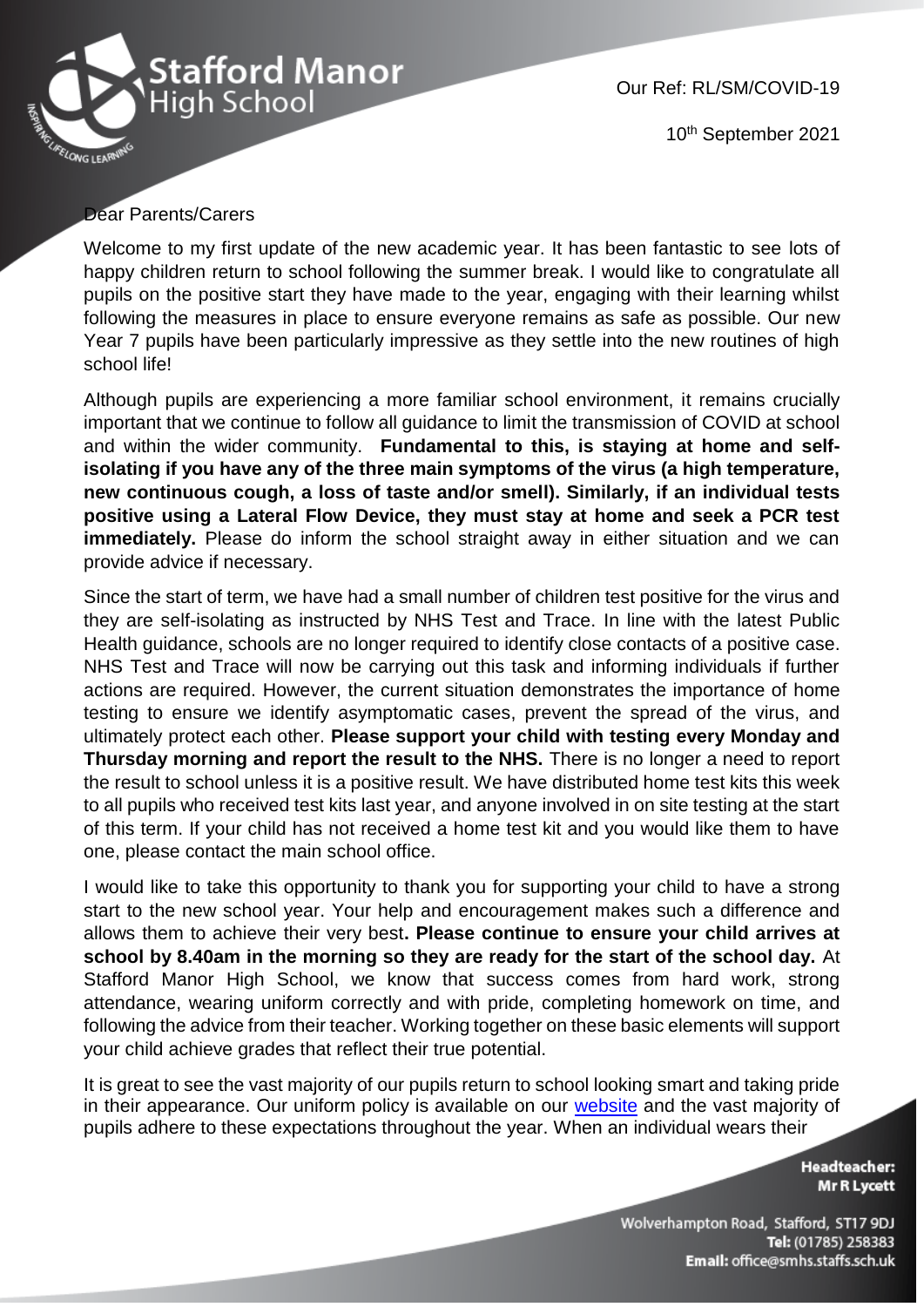

Our Ref: RL/SM/COVID-19

10th September 2021

## Dear Parents/Carers

Welcome to my first update of the new academic year. It has been fantastic to see lots of happy children return to school following the summer break. I would like to congratulate all pupils on the positive start they have made to the year, engaging with their learning whilst following the measures in place to ensure everyone remains as safe as possible. Our new Year 7 pupils have been particularly impressive as they settle into the new routines of high school life!

Although pupils are experiencing a more familiar school environment, it remains crucially important that we continue to follow all guidance to limit the transmission of COVID at school and within the wider community. **Fundamental to this, is staying at home and selfisolating if you have any of the three main symptoms of the virus (a high temperature, new continuous cough, a loss of taste and/or smell). Similarly, if an individual tests positive using a Lateral Flow Device, they must stay at home and seek a PCR test immediately.** Please do inform the school straight away in either situation and we can provide advice if necessary.

Since the start of term, we have had a small number of children test positive for the virus and they are self-isolating as instructed by NHS Test and Trace. In line with the latest Public Health guidance, schools are no longer required to identify close contacts of a positive case. NHS Test and Trace will now be carrying out this task and informing individuals if further actions are required. However, the current situation demonstrates the importance of home testing to ensure we identify asymptomatic cases, prevent the spread of the virus, and ultimately protect each other. **Please support your child with testing every Monday and Thursday morning and report the result to the NHS.** There is no longer a need to report the result to school unless it is a positive result. We have distributed home test kits this week to all pupils who received test kits last year, and anyone involved in on site testing at the start of this term. If your child has not received a home test kit and you would like them to have one, please contact the main school office.

I would like to take this opportunity to thank you for supporting your child to have a strong start to the new school year. Your help and encouragement makes such a difference and allows them to achieve their very best**. Please continue to ensure your child arrives at school by 8.40am in the morning so they are ready for the start of the school day.** At Stafford Manor High School, we know that success comes from hard work, strong attendance, wearing uniform correctly and with pride, completing homework on time, and following the advice from their teacher. Working together on these basic elements will support your child achieve grades that reflect their true potential.

It is great to see the vast majority of our pupils return to school looking smart and taking pride in their appearance. Our uniform policy is available on our [website](https://www.staffordmanorhighschool.com/uniform) and the vast majority of pupils adhere to these expectations throughout the year. When an individual wears their

> **Headteacher: Mr R Lycett**

Wolverhampton Road, Stafford, ST17 9DJ Tel: (01785) 258383 Email: office@smhs.staffs.sch.uk